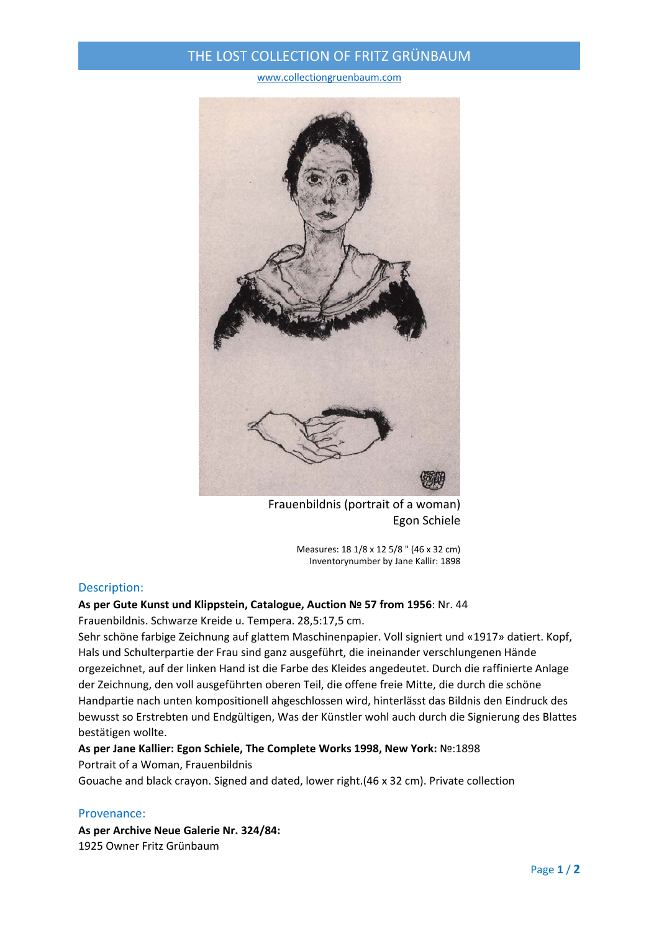## THE LOST COLLECTION OF FRITZ GRÜNBAUM

#### www.collectiongruenbaum.com



Frauenbildnis (portrait of a woman) Egon Schiele

Measures: 18 1/8 x 12 5/8 " (46 x 32 cm) Inventorynumber by Jane Kallir: 1898

### Description:

## **As per Gute Kunst und Klippstein, Catalogue, Auction № 57 from 1956**: Nr. 44

Frauenbildnis. Schwarze Kreide u. Tempera. 28,5:17,5 cm.

Sehr schöne farbige Zeichnung auf glattem Maschinenpapier. Voll signiert und «1917» datiert. Kopf, Hals und Schulterpartie der Frau sind ganz ausgeführt, die ineinander verschlungenen Hände orgezeichnet, auf der linken Hand ist die Farbe des Kleides angedeutet. Durch die raffinierte Anlage der Zeichnung, den voll ausgeführten oberen Teil, die offene freie Mitte, die durch die schöne Handpartie nach unten kompositionell ahgeschlossen wird, hinterlässt das Bildnis den Eindruck des bewusst so Erstrebten und Endgültigen, Was der Künstler wohl auch durch die Signierung des Blattes bestätigen wollte.

# **As per Jane Kallier: Egon Schiele, The Complete Works 1998, New York:** №:1898

### Portrait of a Woman, Frauenbildnis

Gouache and black crayon. Signed and dated, lower right.(46 x 32 cm). Private collection

### Provenance:

**As per Archive Neue Galerie Nr. 324/84:** 1925 Owner Fritz Grünbaum